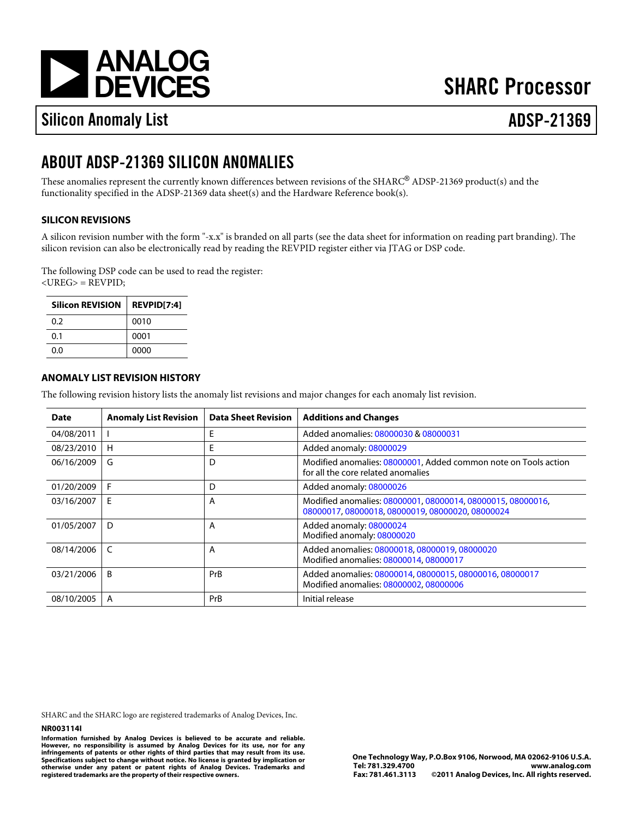[a](http://www.analog.com)

# **SHARC Processor**

# Silicon Anomaly List ADSP-21369

## ABOUT ADSP-21369 SILICON ANOMALIES

These anomalies represent the currently known differences between revisions of the SHARC®ADSP-21369 product(s) and the functionality specified in the ADSP-21369 data sheet(s) and the Hardware Reference book(s).

### SILICON REVISIONS

A silicon revision number with the form "-x.x" is branded on all parts (see the data sheet for information on reading part branding). The silicon revision can also be electronically read by reading the REVPID register either via JTAG or DSP code.

The following DSP code can be used to read the register: <UREG> = REVPID;

| Silicon REVISION REVPID[7:4] |      |
|------------------------------|------|
| 0.2                          | 0010 |
| 0.1                          | 0001 |
| 0.O                          | 0000 |

#### ANOMALY LIST REVISION HISTORY

The following revision history lists the anomaly list revisions and major changes for each anomaly list revision.

| Date       | Anomaly List Revision | Data Sheet Revision | <b>Additions and Changes</b>                                                                       |
|------------|-----------------------|---------------------|----------------------------------------------------------------------------------------------------|
| 04/08/2011 |                       | E                   | Added anomalies08000030&08000031                                                                   |
| 08/23/2010 | H                     | E                   | Added anomaly 08000029                                                                             |
| 06/16/2009 | G                     | D                   | Modified anomalies08000001 Added common note on Tools action<br>for all the core related anomalies |
| 01/20/2009 | F                     | D                   | Added anomaly 08000026                                                                             |
| 03/16/2007 | Е                     | A                   | Modified anomalies08000001080000140800001508000016<br>0800001708000018080000190800002008000024     |
| 01/05/2007 | D                     | A                   | Added anomaly 08000024<br>Modified anomaly:08000020                                                |
| 08/14/2006 | C                     | A                   | Added anomalies080000180800001908000020<br>Modified anomalies0800001408000017                      |
| 03/21/2006 | B                     | PrB                 | Added anomalies08000014080000150800001608000017<br>Modified anomalies0800000208000006              |
| 08/10/2005 | A                     | PrB                 | Initial release                                                                                    |

SHARC and the SHARC logo are registered trademarks of Analog Devices, Inc.

#### NR003114I

Information furnished by Analog Devices is believed to be accurate and reliable. However, no responsibility is assumed by Analog Devices for its use, nor for any infringements of patents or other rights of third parties that may result from its use. Specifications subject to change without notice. No license is granted by implication or otherwise under any patent or patent rights of Analog Devices. Trademarks and registered trademarks are the property of their respective owners.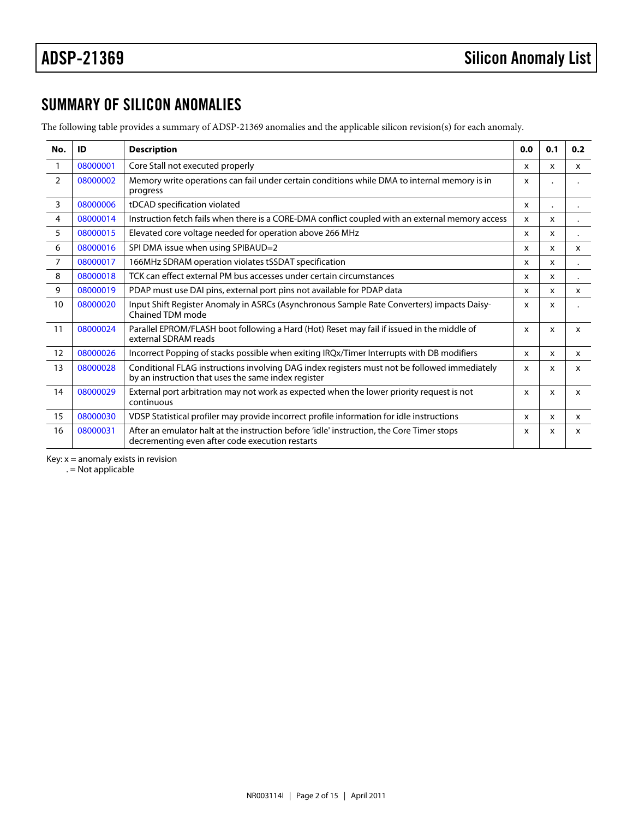## SUMMARY OF SILICON ANOMALIES

The following table provides a summary of ADSP-21369 anomalies and the applicable silicon revision(s) for each anomaly.

<span id="page-1-8"></span><span id="page-1-7"></span><span id="page-1-6"></span><span id="page-1-5"></span><span id="page-1-4"></span><span id="page-1-3"></span><span id="page-1-2"></span><span id="page-1-1"></span><span id="page-1-0"></span>

| No.            | ID       | Description                                                                                                                                         | 0.0          | 0.1          | 0.2          |
|----------------|----------|-----------------------------------------------------------------------------------------------------------------------------------------------------|--------------|--------------|--------------|
| $\mathbf{1}$   | 08000001 | Core Stall not executed properly                                                                                                                    | X            | $\mathsf{x}$ | X            |
| $\overline{2}$ | 08000002 | Memory write operations can fail under certain conditions while DMA to internal memory is in<br>progress                                            | $\mathsf{x}$ |              |              |
| 3              | 08000006 | tDCAD specification violated                                                                                                                        | X            |              |              |
| 4              | 08000014 | Instruction fetch fails when there is a CORE-DMA conflict coupled with an external memory access                                                    |              | X            |              |
| 5              | 08000015 | Elevated core voltage needed for operation above 266 MHz                                                                                            | X            | $\mathsf{x}$ |              |
| 6              | 08000016 | SPI DMA issue when using SPIBAUD=2                                                                                                                  | X            | $\mathsf{x}$ | X            |
| $\overline{7}$ | 08000017 | 166MHz SDRAM operation violates tSSDAT specification                                                                                                | $\mathsf{x}$ | $\mathsf{x}$ |              |
| 8              | 08000018 | TCK can effect external PM bus accesses under certain circumstances                                                                                 | x            | X            |              |
| 9              | 08000019 | PDAP must use DAI pins, external port pins not available for PDAP data                                                                              | $\mathsf{x}$ | $\mathsf{x}$ | $\mathsf{x}$ |
| 10             | 08000020 | Input Shift Register Anomaly in ASRCs (Asynchronous Sample Rate Converters) impacts Daisy-x<br>Chained TDM mode                                     |              | X            |              |
| 11             | 08000024 | Parallel EPROM/FLASH boot following a Hard (Hot) Reset may fail if issued in the middle of<br>external SDRAM reads                                  | $\mathsf{x}$ | x            | X            |
| 12             | 08000026 | Incorrect Popping of stacks possible when exiting IRQx/Timer Interrupts with DB modifiers                                                           | $\mathsf{x}$ | X            | X            |
| 13             | 08000028 | Conditional FLAG instructions involving DAG index registers must not be followed immediately<br>by an instruction that uses the same index register | X            | x            | X            |
| 14             | 08000029 | External port arbitration may not work as expected when the lower priority request is not<br>continuous                                             | X            | X            | X            |
| 15             | 08000030 | VDSP Statistical profiler may provide incorrect profile information for idle instructions                                                           | $\mathsf{x}$ | $\mathsf{x}$ | $\mathsf{x}$ |
| 16             | 08000031 | After an emulator halt at the instruction before 'idle' instruction, the Core Timer stops<br>decrementing even after code execution restarts        | x            | x            | X            |

<span id="page-1-15"></span><span id="page-1-14"></span><span id="page-1-13"></span><span id="page-1-12"></span><span id="page-1-11"></span><span id="page-1-10"></span><span id="page-1-9"></span>Key:  $x =$  anomaly exists in revision

. = Not applicable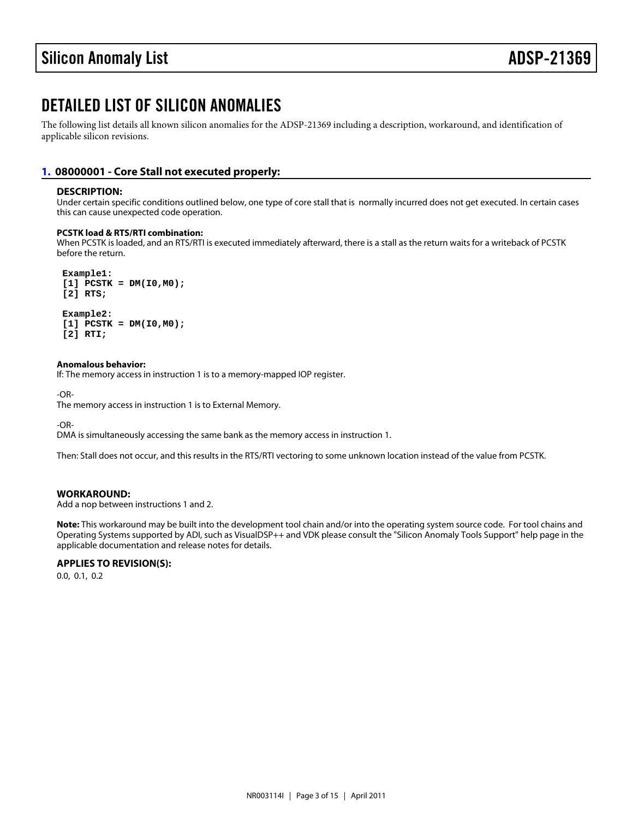## DETAILED LIST OF SILICON ANOMALIES

The following list details all known silicon anomalies for the ADSP-21369 including a description, workaround, and identification of applicable silicon revisions.

#### <span id="page-2-0"></span>[1.](#page-1-0) 08000001 - Core Stall not executed properly:

#### DESCRIPTION:

Under certain specific conditions outlined below, one type of core stall that is normally incurred does not get executed. In certain cases this can cause unexpected code operation.

PCSTK load & RTS/RTI combination:

When PCSTK is loaded, and an RTS/RTI is executed immediately afterward, there is a stall as the return waits for a writeback of PCSTK before the return.

 Example1:  $[1]$  PCSTK = DM( $[0, M0)$ ; [2] RTS;

 Example2:  $[1]$  PCSTK = DM( $[0, M0)$ ; [2] RTI;

Anomalous behavior: If: The memory access in instruction 1 is to a memory-mapped IOP register.

-OR-

The memory access in instruction 1 is to External Memory.

-OR-

DMA is simultaneously accessing the same bank as the memory access in instruction 1.

Then: Stall does not occur, and this results in the RTS/RTI vectoring to some unknown location instead of the value from PCSTK.

WORKAROUND:

Add a nop between instructions 1 and 2.

Note: This workaround may be built into the development tool chain and/or into the operating system source code. For tool chains and Operating Systems supported by ADI, such as VisualDSP++ and VDK please consult the "Silicon Anomaly Tools Support" help page in the applicable documentation and release notes for details.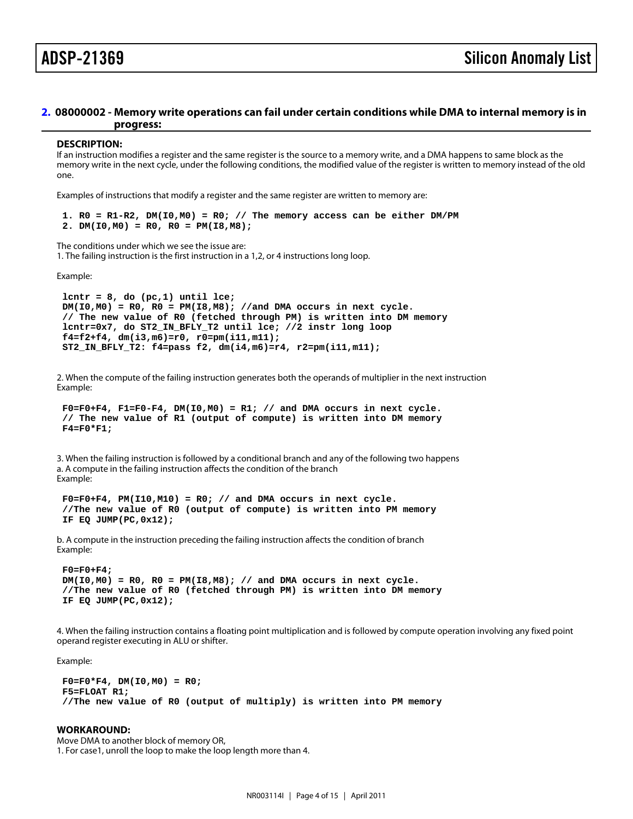#### <span id="page-3-0"></span>[2.](#page-1-1) 08000002 - Memory write operations can fail under certain conditions while DMA to internal memory is in progress:

#### DESCRIPTION:

If an instruction modifies a register and the same register is the source to a memory write, and a DMA happens to same block as the memory write in the next cycle, under the following conditions, the modified value of the register is written to memory instead of the old one.

Examples of instructions that modify a register and the same register are written to memory are:

1.  $RO = R1-R2$ ,  $DM(10, MO) = R0$ ; // The memory access can be either DM/PM 2. DM( $10, M0$ ) = R0, R0 = PM( $18, M8$ );

The conditions under which we see the issue are: 1. The failing instruction is the first instruction in a 1,2, or 4 instructions long loop.

Example:

lcntr =  $8$ , do (pc, 1) until lce;  $DM(IO, MO) = RO$ ,  $RO = PM(IB, MB)$ ; //and DMA occurs in next cycle. // The new value of R0 (fetched through PM) is written into DM memory lcntr=0x7, do ST2\_IN\_BFLY\_T2 until lce; //2 instr long loop f4=f2+f4, dm(i3,m6)=r0, r0=pm(i11,m11); ST2\_IN\_BFLY\_T2: f4=pass f2, dm(i4,m6)=r4, r2=pm(i11,m11);

2. When the compute of the failing instruction generates both the operands of multiplier in the next instruction Example:

```
F0=F0+F4, F1=F0-F4, DM(10,MO) = R1; // and DMA occurs in next cycle.
 // The new value of R1 (output of compute) is written into DM memory
F4 = F0*F1;
```
3. When the failing instruction is followed by a conditional branch and any of the following two happens a. A compute in the failing instruction affects the condition of the branch Example:

 $F0=F0+F4$ ,  $PM(110, M10) = R0$ ; // and DMA occurs in next cycle. //The new value of R0 (output of compute) is written into PM memory IF EQ JUMP(PC,0x12);

b. A compute in the instruction preceding the failing instruction affects the condition of branch Example:

 F0=F0+F4;  $DM(10, M0) = R0$ ,  $R0 = PM(18, M8)$ ; // and DMA occurs in next cycle. //The new value of R0 (fetched through PM) is written into DM memory IF EQ JUMP(PC,0x12);

4. When the failing instruction contains a floating point multiplication and is followed by compute operation involving any fixed point operand register executing in ALU or shifter.

Example:

 $F0 = F0*F4$ , DM( $10, MO$ ) = R0; F5=FLOAT R1; //The new value of R0 (output of multiply) is written into PM memory

WORKAROUND: Move DMA to another block of memory OR, 1. For case1, unroll the loop to make the loop length more than 4.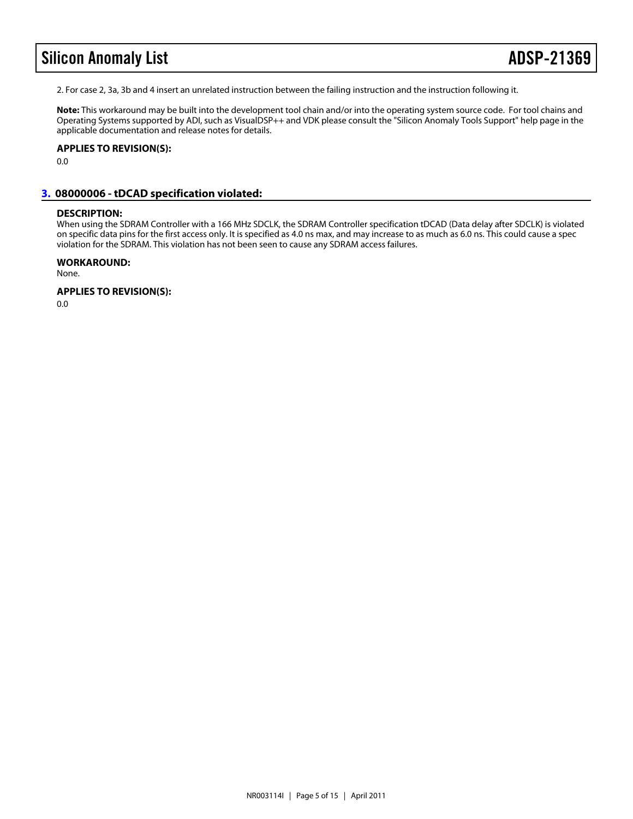## Silicon Anomaly List **ADSP-213**69

2. For case 2, 3a, 3b and 4 insert an unrelated instruction between the failing instruction and the instruction following it.

Note: This workaround may be built into the development tool chain and/or into the operating system source code. For tool chains and Operating Systems supported by ADI, such as VisualDSP++ and VDK please consult the "Silicon Anomaly Tools Support" help page in the applicable documentation and release notes for details.

APPLIES TO REVISION(S): 0.0

#### <span id="page-4-0"></span>[3.](#page-1-2) 08000006 - tDCAD specification violated:

#### DESCRIPTION:

When using the SDRAM Controller with a 166 MHz SDCLK, the SDRAM Controller specification tDCAD (Data delay after SDCLK) is violated on specific data pins for the first access only. It is specified as 4.0 ns max, and may increase to as much as 6.0 ns. This could cause a spec violation for the SDRAM. This violation has not been seen to cause any SDRAM access failures.

WORKAROUND: None.

APPLIES TO REVISION(S):

0.0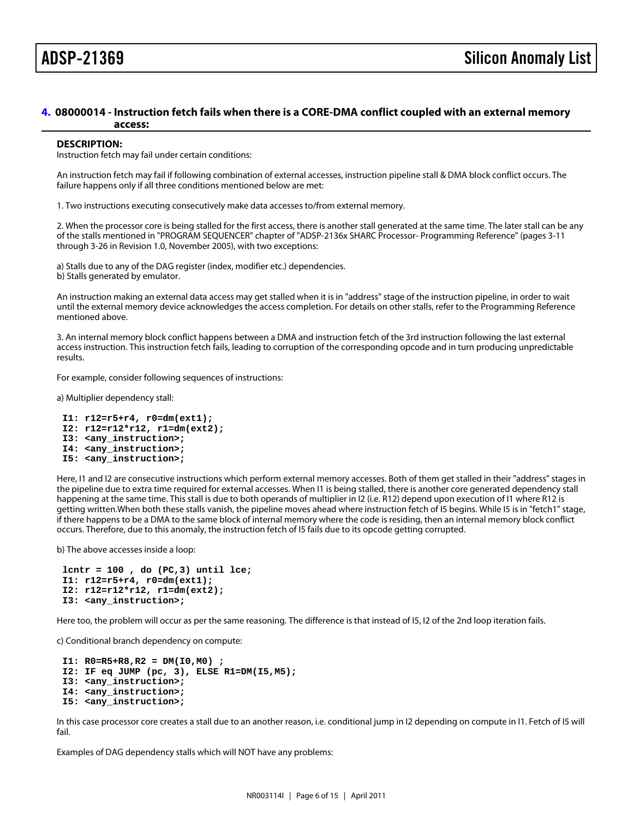#### <span id="page-5-0"></span>[4.](#page-1-3) 08000014 - Instruction fetch fails when there is a CORE-DMA conflict coupled with an external memory access:

#### DESCRIPTION:

Instruction fetch may fail under certain conditions:

An instruction fetch may fail if following combination of external accesses, instruction pipeline stall & DMA block conflict occurs. The failure happens only if all three conditions mentioned below are met:

1. Two instructions executing consecutively make data accesses to/from external memory.

2. When the processor core is being stalled for the first access, there is another stall generated at the same time. The later stall can be any of the stalls mentioned in "PROGRAM SEQUENCER" chapter of "ADSP-2136x SHARC Processor- Programming Reference" (pages 3-11 through 3-26 in Revision 1.0, November 2005), with two exceptions:

a) Stalls due to any of the DAG register (index, modifier etc.) dependencies.

b) Stalls generated by emulator.

An instruction making an external data access may get stalled when it is in "address" stage of the instruction pipeline, in order to wait until the external memory device acknowledges the access completion. For details on other stalls, refer to the Programming Reference mentioned above.

3. An internal memory block conflict happens between a DMA and instruction fetch of the 3rd instruction following the last external access instruction. This instruction fetch fails, leading to corruption of the corresponding opcode and in turn producing unpredictable results.

For example, consider following sequences of instructions:

a) Multiplier dependency stall:

I1: r12=r5+r4, r0=dm(ext1);

- I2: r12=r12\*r12, r1=dm(ext2);
- I3: <any\_instruction>;

I4: <any\_instruction>;

I5: <any\_instruction>;

Here, I1 and I2 are consecutive instructions which perform external memory accesses. Both of them get stalled in their "address" stages in the pipeline due to extra time required for external accesses. When I1 is being stalled, there is another core generated dependency stall happening at the same time. This stall is due to both operands of multiplier in I2 (i.e. R12) depend upon execution of I1 where R12 is getting written.When both these stalls vanish, the pipeline moves ahead where instruction fetch of I5 begins. While I5 is in "fetch1" stage, if there happens to be a DMA to the same block of internal memory where the code is residing, then an internal memory block conflict occurs. Therefore, due to this anomaly, the instruction fetch of I5 fails due to its opcode getting corrupted.

b) The above accesses inside a loop:

lcntr =  $100$ , do (PC, 3) until lce; I1: r12=r5+r4, r0=dm(ext1); I2: r12=r12\*r12, r1=dm(ext2); I3: <any\_instruction>;

Here too, the problem will occur as per the same reasoning. The difference is that instead of I5, I2 of the 2nd loop iteration fails.

c) Conditional branch dependency on compute:

 I1: R0=R5+R8,R2 = DM(I0,M0) ; I2: IF eq JUMP (pc, 3), ELSE R1=DM(I5,M5); I3: <any\_instruction>; I4: <any\_instruction>; I5: <any\_instruction>;

In this case processor core creates a stall due to an another reason, i.e. conditional jump in I2 depending on compute in I1. Fetch of I5 will fail.

Examples of DAG dependency stalls which will NOT have any problems: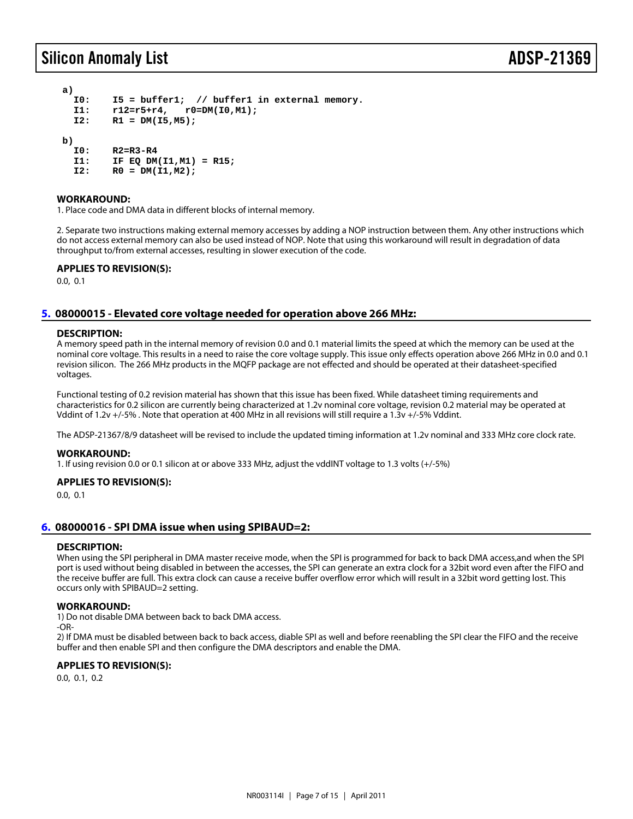### Silicon Anomaly List **ADSP-213**

a)

- I0: I5 = buffer1; // buffer1 in external memory.
- I1: r12=r5+r4, r0=DM(I0,M1);
- $I2: R1 = DM(15, M5);$

b)

- I0: R2=R3-R4
- $I1: IFEQ DM(11,M1) = R15;$
- $I2: \quad R0 = DM(11, M2);$

#### WORKAROUND:

1. Place code and DMA data in different blocks of internal memory.

2. Separate two instructions making external memory accesses by adding a NOP instruction between them. Any other instructions which do not access external memory can also be used instead of NOP. Note that using this workaround will result in degradation of data throughput to/from external accesses, resulting in slower execution of the code.

APPLIES TO REVISION(S):

0.0, 0.1

### <span id="page-6-0"></span>[5.](#page-1-4) 08000015 - Elevated core voltage needed for operation above 266 MHz:

#### DESCRIPTION:

A memory speed path in the internal memory of revision 0.0 and 0.1 material limits the speed at which the memory can be used at the nominal core voltage. This results in a need to raise the core voltage supply. This issue only effects operation above 266 MHz in 0.0 and 0.1 revision silicon. The 266 MHz products in the MQFP package are not effected and should be operated at their datasheet-specified voltages.

Functional testing of 0.2 revision material has shown that this issue has been fixed. While datasheet timing requirements and characteristics for 0.2 silicon are currently being characterized at 1.2v nominal core voltage, revision 0.2 material may be operated at Vddint of 1.2v +/-5% . Note that operation at 400 MHz in all revisions will still require a 1.3v +/-5% Vddint.

The ADSP-21367/8/9 datasheet will be revised to include the updated timing information at 1.2v nominal and 333 MHz core clock rate.

#### WORKAROUND:

1. If using revision 0.0 or 0.1 silicon at or above 333 MHz, adjust the vddINT voltage to 1.3 volts (+/-5%)

#### APPLIES TO REVISION(S):

0.0, 0.1

### <span id="page-6-1"></span>[6.](#page-1-5) 08000016 - SPI DMA issue when using SPIBAUD=2:

#### DESCRIPTION:

When using the SPI peripheral in DMA master receive mode, when the SPI is programmed for back to back DMA access,and when the SPI port is used without being disabled in between the accesses, the SPI can generate an extra clock for a 32bit word even after the FIFO and the receive buffer are full. This extra clock can cause a receive buffer overflow error which will result in a 32bit word getting lost. This occurs only with SPIBAUD=2 setting.

#### WORKAROUND:

1) Do not disable DMA between back to back DMA access.

-OR-

2) If DMA must be disabled between back to back access, diable SPI as well and before reenabling the SPI clear the FIFO and the receive buffer and then enable SPI and then configure the DMA descriptors and enable the DMA.

#### APPLIES TO REVISION(S):

0.0, 0.1, 0.2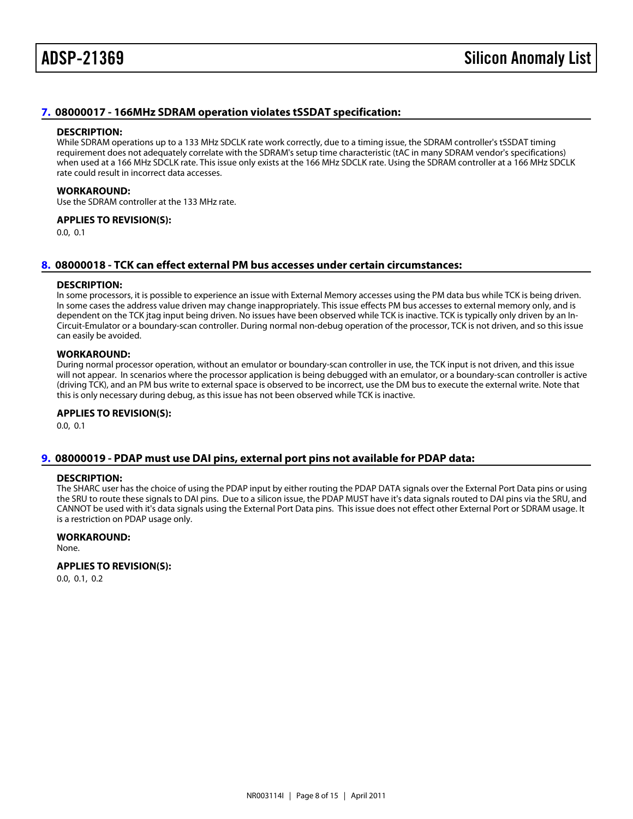#### <span id="page-7-0"></span>[7.](#page-1-6) 08000017 - 166MHz SDRAM operation violates tSSDAT specification:

#### DESCRIPTION:

While SDRAM operations up to a 133 MHz SDCLK rate work correctly, due to a timing issue, the SDRAM controller's tSSDAT timing requirement does not adequately correlate with the SDRAM's setup time characteristic (tAC in many SDRAM vendor's specifications) when used at a 166 MHz SDCLK rate. This issue only exists at the 166 MHz SDCLK rate. Using the SDRAM controller at a 166 MHz SDCLK rate could result in incorrect data accesses.

#### WORKAROUND:

Use the SDRAM controller at the 133 MHz rate.

APPLIES TO REVISION(S):

0.0, 0.1

#### <span id="page-7-1"></span>[8.](#page-1-7) 08000018 - TCK can effect external PM bus accesses under certain circumstances:

#### DESCRIPTION:

In some processors, it is possible to experience an issue with External Memory accesses using the PM data bus while TCK is being driven. In some cases the address value driven may change inappropriately. This issue effects PM bus accesses to external memory only, and is dependent on the TCK jtag input being driven. No issues have been observed while TCK is inactive. TCK is typically only driven by an In-Circuit-Emulator or a boundary-scan controller. During normal non-debug operation of the processor, TCK is not driven, and so this issue can easily be avoided.

#### WORKAROUND:

During normal processor operation, without an emulator or boundary-scan controller in use, the TCK input is not driven, and this issue will not appear. In scenarios where the processor application is being debugged with an emulator, or a boundary-scan controller is active (driving TCK), and an PM bus write to external space is observed to be incorrect, use the DM bus to execute the external write. Note that this is only necessary during debug, as this issue has not been observed while TCK is inactive.

#### APPLIES TO REVISION(S):

0.0, 0.1

#### <span id="page-7-2"></span>[9.](#page-1-8) 08000019 - PDAP must use DAI pins, external port pins not available for PDAP data:

#### DESCRIPTION:

The SHARC user has the choice of using the PDAP input by either routing the PDAP DATA signals over the External Port Data pins or using the SRU to route these signals to DAI pins. Due to a silicon issue, the PDAP MUST have it's data signals routed to DAI pins via the SRU, and CANNOT be used with it's data signals using the External Port Data pins. This issue does not effect other External Port or SDRAM usage. It is a restriction on PDAP usage only.

WORKAROUND: None.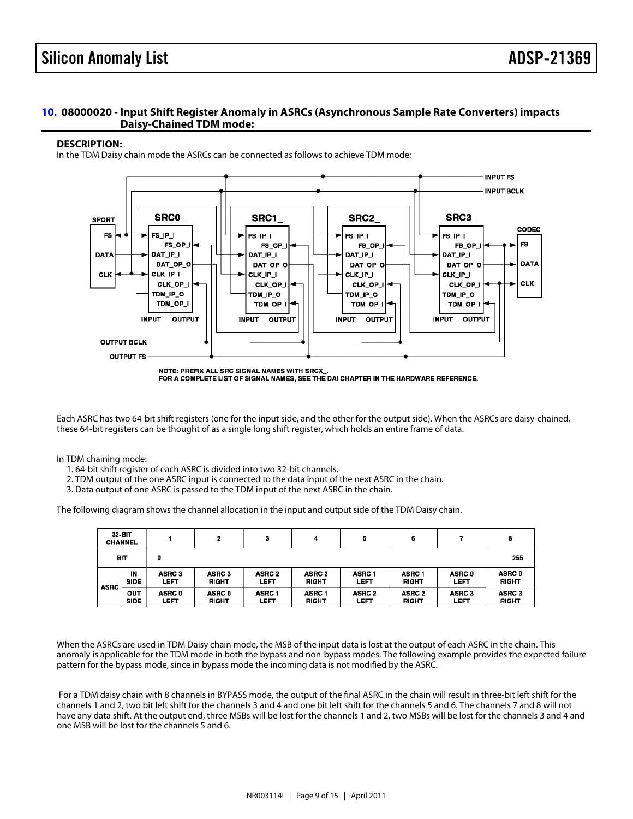#### <span id="page-8-0"></span>[10.](#page-1-9) 08000020 - Input Shift Register Anomaly in ASRCs (Asynchronous Sample Rate Converters) impacts Daisy-Chained TDM mode:

#### DESCRIPTION:

In the TDM Daisy chain mode the ASRCs can be connected as follows to achieve TDM mode:

Each ASRC has two 64-bit shift registers (one for the input side, and the other for the output side). When the ASRCs are daisy-chained, these 64-bit registers can be thought of as a single long shift register, which holds an entire frame of data.

In TDM chaining mode:

- 1. 64-bit shift register of each ASRC is divided into two 32-bit channels.
- 2. TDM output of the one ASRC input is connected to the data input of the next ASRC in the chain.
- 3. Data output of one ASRC is passed to the TDM input of the next ASRC in the chain.

The following diagram shows the channel allocation in the input and output side of the TDM Daisy chain.

When the ASRCs are used in TDM Daisy chain mode, the MSB of the input data is lost at the output of each ASRC in the chain. This anomaly is applicable for the TDM mode in both the bypass and non-bypass modes. The following example provides the expected failure pattern for the bypass mode, since in bypass mode the incoming data is not modified by the ASRC.

 For a TDM daisy chain with 8 channels in BYPASS mode, the output of the final ASRC in the chain will result in three-bit left shift for the channels 1 and 2, two bit left shift for the channels 3 and 4 and one bit left shift for the channels 5 and 6. The channels 7 and 8 will not have any data shift. At the output end, three MSBs will be lost for the channels 1 and 2, two MSBs will be lost for the channels 3 and 4 and one MSB will be lost for the channels 5 and 6.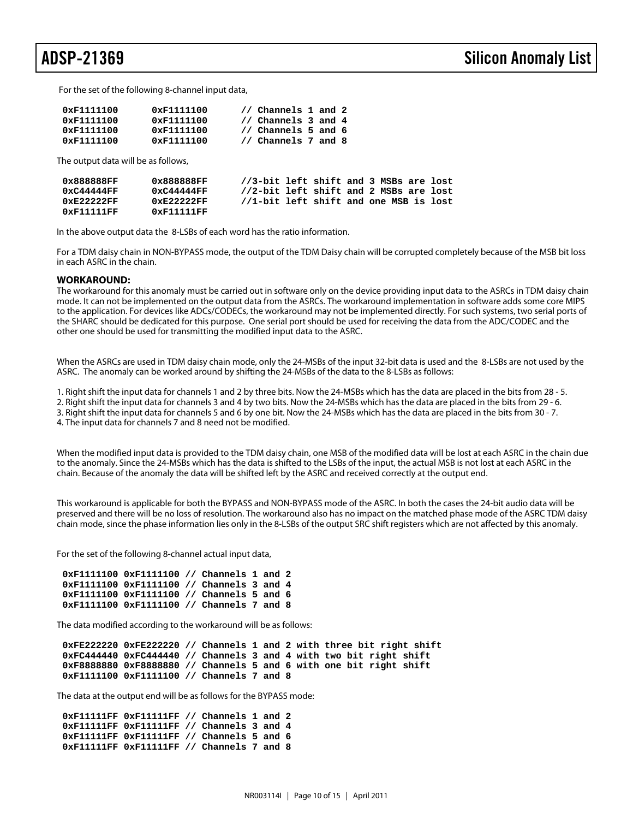For the set of the following 8-channel input data,

| 0xF1111100 | 0xF1111100         | // Channels 1 and 2            |
|------------|--------------------|--------------------------------|
| 0xF1111100 | $0 \times 1111100$ | // Channels 3 and 4            |
| 0xF1111100 | 0xF1111100         | $\frac{1}{2}$ Channels 5 and 6 |
| 0xF1111100 | $0 \times 1111100$ | // Channels 7 and 8            |

The output data will be as follows,

| 0x888888FF    | 0x888888FF    | //3-bit left shift and 3 MSBs are lost |  |  |  |  |
|---------------|---------------|----------------------------------------|--|--|--|--|
| 0xC44444FF    | 0xC44444FF    | //2-bit left shift and 2 MSBs are lost |  |  |  |  |
| $0xE2222F$ FF | $0xE2222F$ FF | //1-bit left shift and one MSB is lost |  |  |  |  |
| 0xF11111FF    | 0xF11111FF    |                                        |  |  |  |  |

In the above output data the 8-LSBs of each word has the ratio information.

For a TDM daisy chain in NON-BYPASS mode, the output of the TDM Daisy chain will be corrupted completely because of the MSB bit loss in each ASRC in the chain.

#### **WORKAROUND:**

The workaround for this anomaly must be carried out in software only on the device providing input data to the ASRCs in TDM daisy chain mode. It can not be implemented on the output data from the ASRCs. The workaround implementation in software adds some core MIPS to the application. For devices like ADCs/CODECs, the workaround may not be implemented directly. For such systems, two serial ports of the SHARC should be dedicated for this purpose. One serial port should be used for receiving the data from the ADC/CODEC and the other one should be used for transmitting the modified input data to the ASRC.

When the ASRCs are used in TDM daisy chain mode, only the 24-MSBs of the input 32-bit data is used and the 8-LSBs are not used by the ASRC. The anomaly can be worked around by shifting the 24-MSBs of the data to the 8-LSBs as follows:

1. Right shift the input data for channels 1 and 2 by three bits. Now the 24-MSBs which has the data are placed in the bits from 28 - 5.

2. Right shift the input data for channels 3 and 4 by two bits. Now the 24-MSBs which has the data are placed in the bits from 29 - 6. 3. Right shift the input data for channels 5 and 6 by one bit. Now the 24-MSBs which has the data are placed in the bits from 30 - 7.

4. The input data for channels 7 and 8 need not be modified.

When the modified input data is provided to the TDM daisy chain, one MSB of the modified data will be lost at each ASRC in the chain due to the anomaly. Since the 24-MSBs which has the data is shifted to the LSBs of the input, the actual MSB is not lost at each ASRC in the chain. Because of the anomaly the data will be shifted left by the ASRC and received correctly at the output end.

This workaround is applicable for both the BYPASS and NON-BYPASS mode of the ASRC. In both the cases the 24-bit audio data will be preserved and there will be no loss of resolution. The workaround also has no impact on the matched phase mode of the ASRC TDM daisy chain mode, since the phase information lies only in the 8-LSBs of the output SRC shift registers which are not affected by this anomaly.

For the set of the following 8-channel actual input data,

```
 0xF1111100 0xF1111100 // Channels 1 and 2
 0xF1111100 0xF1111100 // Channels 3 and 4
 0xF1111100 0xF1111100 // Channels 5 and 6
 0xF1111100 0xF1111100 // Channels 7 and 8
```
The data modified according to the workaround will be as follows:

```
 0xFE222220 0xFE222220 // Channels 1 and 2 with three bit right shift
 0xFC444440 0xFC444440 // Channels 3 and 4 with two bit right shift
 0xF8888880 0xF8888880 // Channels 5 and 6 with one bit right shift
 0xF1111100 0xF1111100 // Channels 7 and 8
```
The data at the output end will be as follows for the BYPASS mode:

 **0xF11111FF 0xF11111FF // Channels 1 and 2 0xF11111FF 0xF11111FF // Channels 3 and 4 0xF11111FF 0xF11111FF // Channels 5 and 6 0xF11111FF 0xF11111FF // Channels 7 and 8**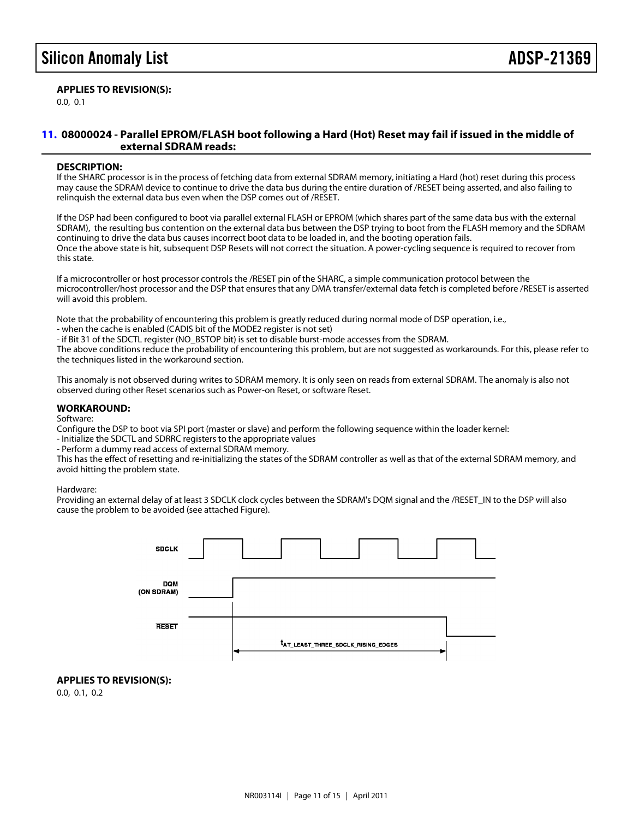### APPLIES TO REVISION(S):

0.0, 0.1

#### <span id="page-10-0"></span>[11.](#page-1-10) 08000024 - Parallel EPROM/FLASH boot following a Hard (Hot) Reset may fail if issued in the middle of external SDRAM reads:

#### DESCRIPTION:

If the SHARC processor is in the process of fetching data from external SDRAM memory, initiating a Hard (hot) reset during this process may cause the SDRAM device to continue to drive the data bus during the entire duration of /RESET being asserted, and also failing to relinquish the external data bus even when the DSP comes out of /RESET.

If the DSP had been configured to boot via parallel external FLASH or EPROM (which shares part of the same data bus with the external SDRAM), the resulting bus contention on the external data bus between the DSP trying to boot from the FLASH memory and the SDRAM continuing to drive the data bus causes incorrect boot data to be loaded in, and the booting operation fails. Once the above state is hit, subsequent DSP Resets will not correct the situation. A power-cycling sequence is required to recover from this state.

If a microcontroller or host processor controls the /RESET pin of the SHARC, a simple communication protocol between the microcontroller/host processor and the DSP that ensures that any DMA transfer/external data fetch is completed before /RESET is asserted will avoid this problem.

Note that the probability of encountering this problem is greatly reduced during normal mode of DSP operation, i.e.,

- when the cache is enabled (CADIS bit of the MODE2 register is not set)

- if Bit 31 of the SDCTL register (NO\_BSTOP bit) is set to disable burst-mode accesses from the SDRAM.

The above conditions reduce the probability of encountering this problem, but are not suggested as workarounds. For this, please refer to the techniques listed in the workaround section.

This anomaly is not observed during writes to SDRAM memory. It is only seen on reads from external SDRAM. The anomaly is also not observed during other Reset scenarios such as Power-on Reset, or software Reset.

#### WORKAROUND:

Software:

Configure the DSP to boot via SPI port (master or slave) and perform the following sequence within the loader kernel:

- Initialize the SDCTL and SDRRC registers to the appropriate values

- Perform a dummy read access of external SDRAM memory.

This has the effect of resetting and re-initializing the states of the SDRAM controller as well as that of the external SDRAM memory, and avoid hitting the problem state.

Hardware:

Providing an external delay of at least 3 SDCLK clock cycles between the SDRAM's DQM signal and the /RESET\_IN to the DSP will also cause the problem to be avoided (see attached Figure).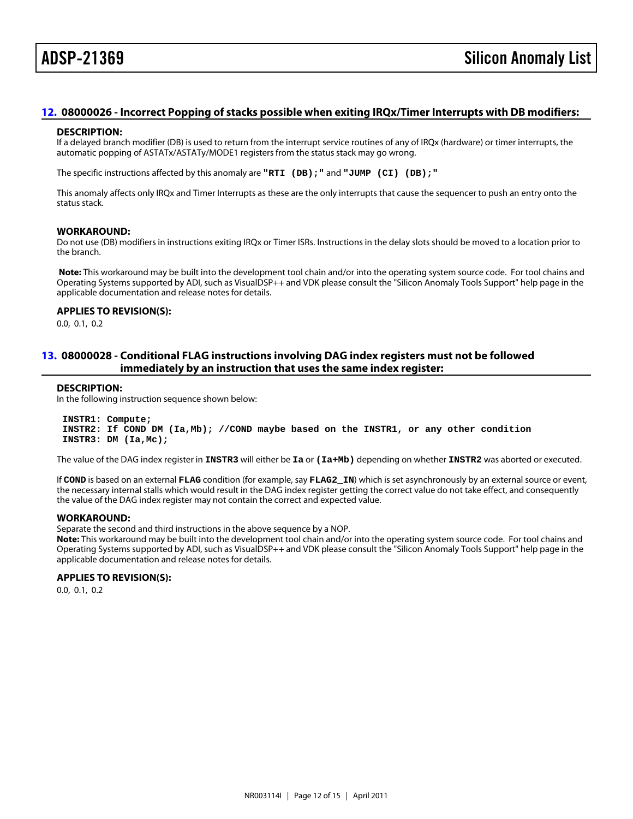#### <span id="page-11-0"></span>[12.](#page-1-11) 08000026 - Incorrect Popping of stacks possible when exiting IRQx/Timer Interrupts with DB modifiers:

#### DESCRIPTION:

If a delayed branch modifier (DB) is used to return from the interrupt service routines of any of IRQx (hardware) or timer interrupts, the automatic popping of ASTATx/ASTATy/MODE1 registers from the status stack may go wrong.

The specific instructions affected by this anomaly are "RTI (DB);" and "JUMP (CI) (DB);"

This anomaly affects only IRQx and Timer Interrupts as these are the only interrupts that cause the sequencer to push an entry onto the status stack.

#### WORKAROUND:

Do not use (DB) modifiers in instructions exiting IRQx or Timer ISRs. Instructions in the delay slots should be moved to a location prior to the branch.

Note: This workaround may be built into the development tool chain and/or into the operating system source code. For tool chains and Operating Systems supported by ADI, such as VisualDSP++ and VDK please consult the "Silicon Anomaly Tools Support" help page in the applicable documentation and release notes for details.

APPLIES TO REVISION(S): 0.0, 0.1, 0.2

#### <span id="page-11-1"></span>[13.](#page-1-12) 08000028 - Conditional FLAG instructions involving DAG index registers must not be followed immediately by an instruction that uses the same index register:

#### DESCRIPTION:

In the following instruction sequence shown below:

 INSTR1: Compute; INSTR2: If COND DM (Ia,Mb); //COND maybe based on the INSTR1, or any other condition INSTR3: DM (Ia,Mc);

The value of the DAG index register in INSTR3 will either be Ia or (Ia+Mb) depending on whether INSTR2 was aborted or executed.

If COND is based on an external FLAG condition (for example, say FLAG2\_IN) which is set asynchronously by an external source or event, the necessary internal stalls which would result in the DAG index register getting the correct value do not take effect, and consequently the value of the DAG index register may not contain the correct and expected value.

#### WORKAROUND:

Separate the second and third instructions in the above sequence by a NOP.

Note: This workaround may be built into the development tool chain and/or into the operating system source code. For tool chains and Operating Systems supported by ADI, such as VisualDSP++ and VDK please consult the "Silicon Anomaly Tools Support" help page in the applicable documentation and release notes for details.

#### APPLIES TO REVISION(S):

0.0, 0.1, 0.2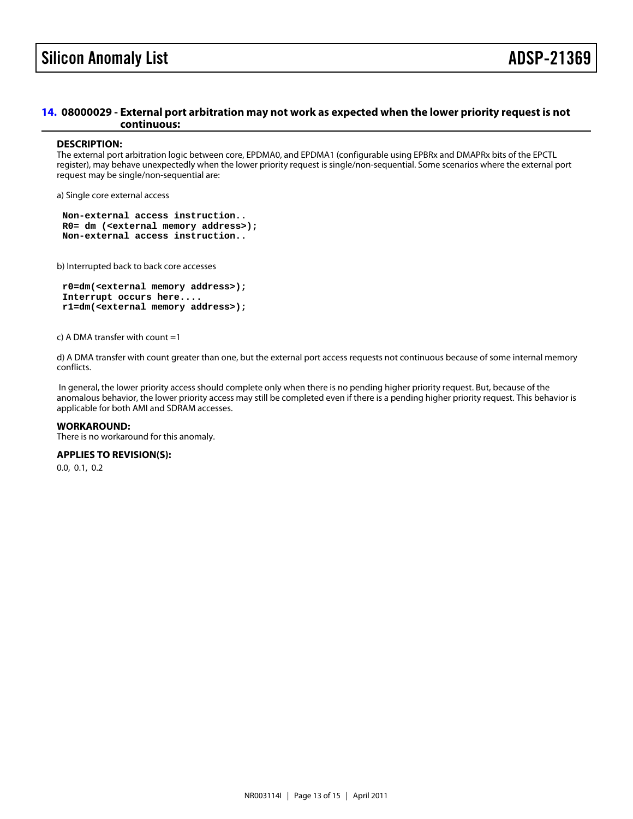#### <span id="page-12-0"></span>[14.](#page-1-13) 08000029 - External port arbitration may not work as expected when the lower priority request is not continuous:

#### DESCRIPTION:

The external port arbitration logic between core, EPDMA0, and EPDMA1 (configurable using EPBRx and DMAPRx bits of the EPCTL register), may behave unexpectedly when the lower priority request is single/non-sequential. Some scenarios where the external port request may be single/non-sequential are:

a) Single core external access

 Non-external access instruction.. R0= dm (<external memory address>); Non-external access instruction..

b) Interrupted back to back core accesses

 r0=dm(<external memory address>); Interrupt occurs here.... r1=dm(<external memory address>);

c) A DMA transfer with count =1

d) A DMA transfer with count greater than one, but the external port access requests not continuous because of some internal memory conflicts.

 In general, the lower priority access should complete only when there is no pending higher priority request. But, because of the anomalous behavior, the lower priority access may still be completed even if there is a pending higher priority request. This behavior is applicable for both AMI and SDRAM accesses.

#### WORKAROUND:

There is no workaround for this anomaly.

APPLIES TO REVISION(S):

0.0, 0.1, 0.2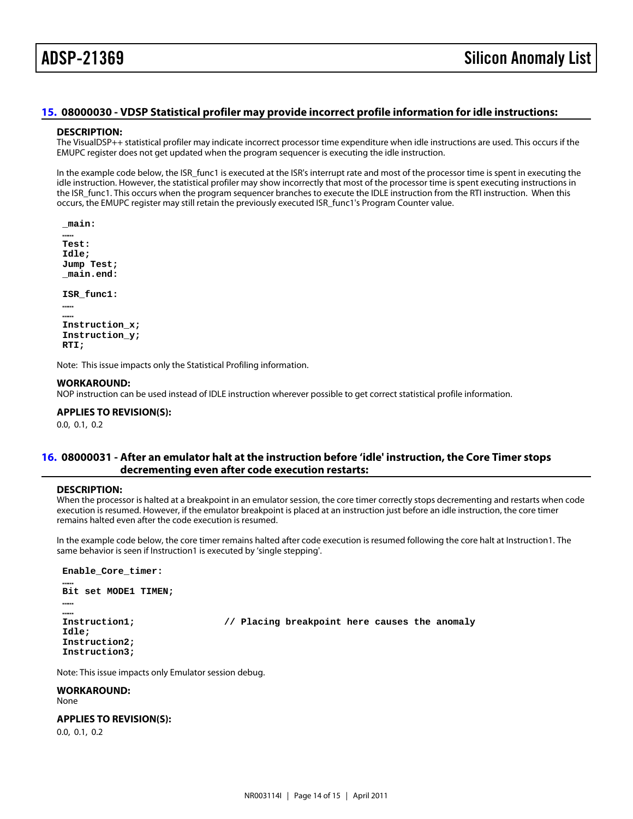#### <span id="page-13-0"></span>[15.](#page-1-14) 08000030 - VDSP Statistical profiler may provide incorrect profile information for idle instructions:

#### DESCRIPTION:

The VisualDSP++ statistical profiler may indicate incorrect processor time expenditure when idle instructions are used. This occurs if the EMUPC register does not get updated when the program sequencer is executing the idle instruction.

In the example code below, the ISR\_func1 is executed at the ISR's interrupt rate and most of the processor time is spent in executing the idle instruction. However, the statistical profiler may show incorrectly that most of the processor time is spent executing instructions in the ISR\_func1. This occurs when the program sequencer branches to execute the IDLE instruction from the RTI instruction. When this occurs, the EMUPC register may still retain the previously executed ISR\_func1's Program Counter value.

\_main:

 …… Test: Idle; Jump Test; \_main.end:

ISR\_func1:

 …… …… Instruction\_x; Instruction\_y; RTI;

Note: This issue impacts only the Statistical Profiling information.

#### WORKAROUND:

NOP instruction can be used instead of IDLE instruction wherever possible to get correct statistical profile information.

APPLIES TO REVISION(S):

0.0, 0.1, 0.2

#### <span id="page-13-1"></span>[16.](#page-1-15) 08000031 - After an emulator halt at the instruction before 'idle' instruction, the Core Timer stops decrementing even after code execution restarts:

#### DESCRIPTION:

When the processor is halted at a breakpoint in an emulator session, the core timer correctly stops decrementing and restarts when code execution is resumed. However, if the emulator breakpoint is placed at an instruction just before an idle instruction, the core timer remains halted even after the code execution is resumed.

In the example code below, the core timer remains halted after code execution is resumed following the core halt at Instruction1. The same behavior is seen if Instruction1 is executed by 'single stepping'.

Enable\_Core\_timer:

Bit set MODE1 TIMEN;

…… ……

……

Instruction1; *// Placing breakpoint here causes the anomaly* 

 Idle; Instruction2; Instruction3;

Note: This issue impacts only Emulator session debug.

WORKAROUND: None